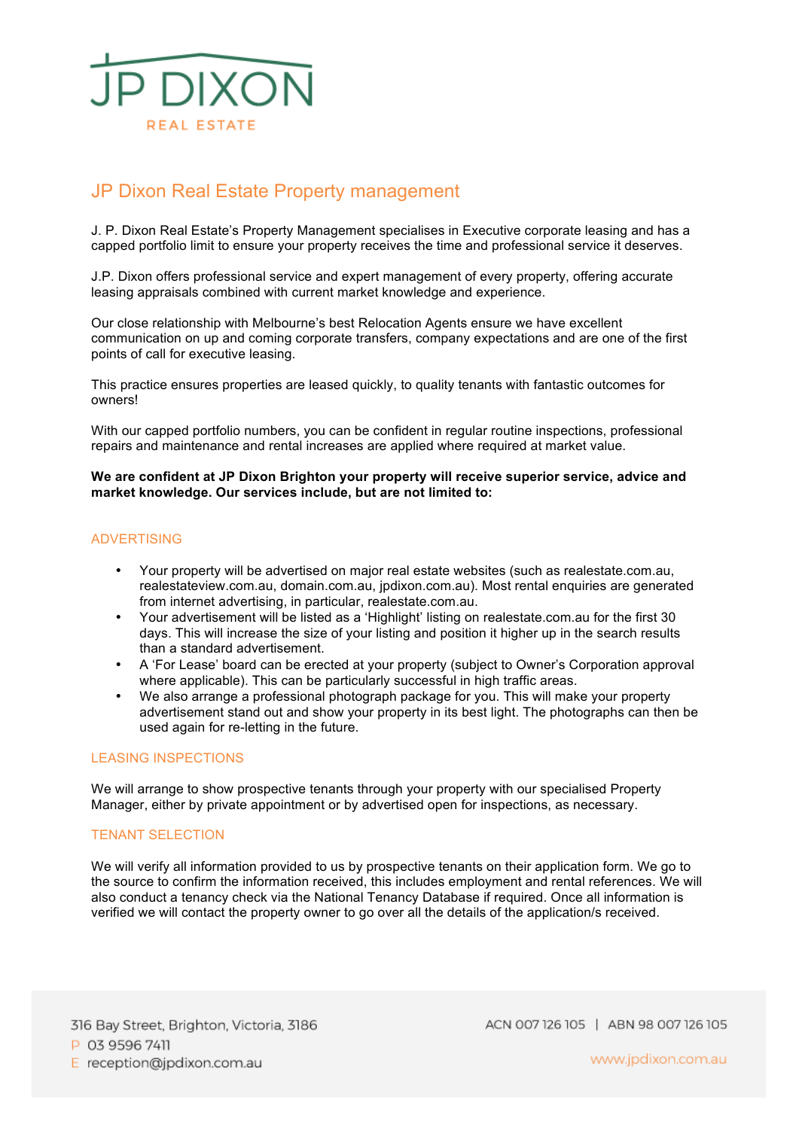

# JP Dixon Real Estate Property management

J. P. Dixon Real Estate's Property Management specialises in Executive corporate leasing and has a capped portfolio limit to ensure your property receives the time and professional service it deserves.

J.P. Dixon offers professional service and expert management of every property, offering accurate leasing appraisals combined with current market knowledge and experience.

Our close relationship with Melbourne's best Relocation Agents ensure we have excellent communication on up and coming corporate transfers, company expectations and are one of the first points of call for executive leasing.

This practice ensures properties are leased quickly, to quality tenants with fantastic outcomes for owners!

With our capped portfolio numbers, you can be confident in regular routine inspections, professional repairs and maintenance and rental increases are applied where required at market value.

**We are confident at JP Dixon Brighton your property will receive superior service, advice and market knowledge. Our services include, but are not limited to:**

# ADVERTISING

- Your property will be advertised on major real estate websites (such as realestate.com.au, realestateview.com.au, domain.com.au, jpdixon.com.au). Most rental enquiries are generated from internet advertising, in particular, realestate.com.au.
- Your advertisement will be listed as a 'Highlight' listing on realestate.com.au for the first 30 days. This will increase the size of your listing and position it higher up in the search results than a standard advertisement.
- A 'For Lease' board can be erected at your property (subject to Owner's Corporation approval where applicable). This can be particularly successful in high traffic areas.
- We also arrange a professional photograph package for you. This will make your property advertisement stand out and show your property in its best light. The photographs can then be used again for re-letting in the future.

### LEASING INSPECTIONS

We will arrange to show prospective tenants through your property with our specialised Property Manager, either by private appointment or by advertised open for inspections, as necessary.

#### TENANT SELECTION

We will verify all information provided to us by prospective tenants on their application form. We go to the source to confirm the information received, this includes employment and rental references. We will also conduct a tenancy check via the National Tenancy Database if required. Once all information is verified we will contact the property owner to go over all the details of the application/s received.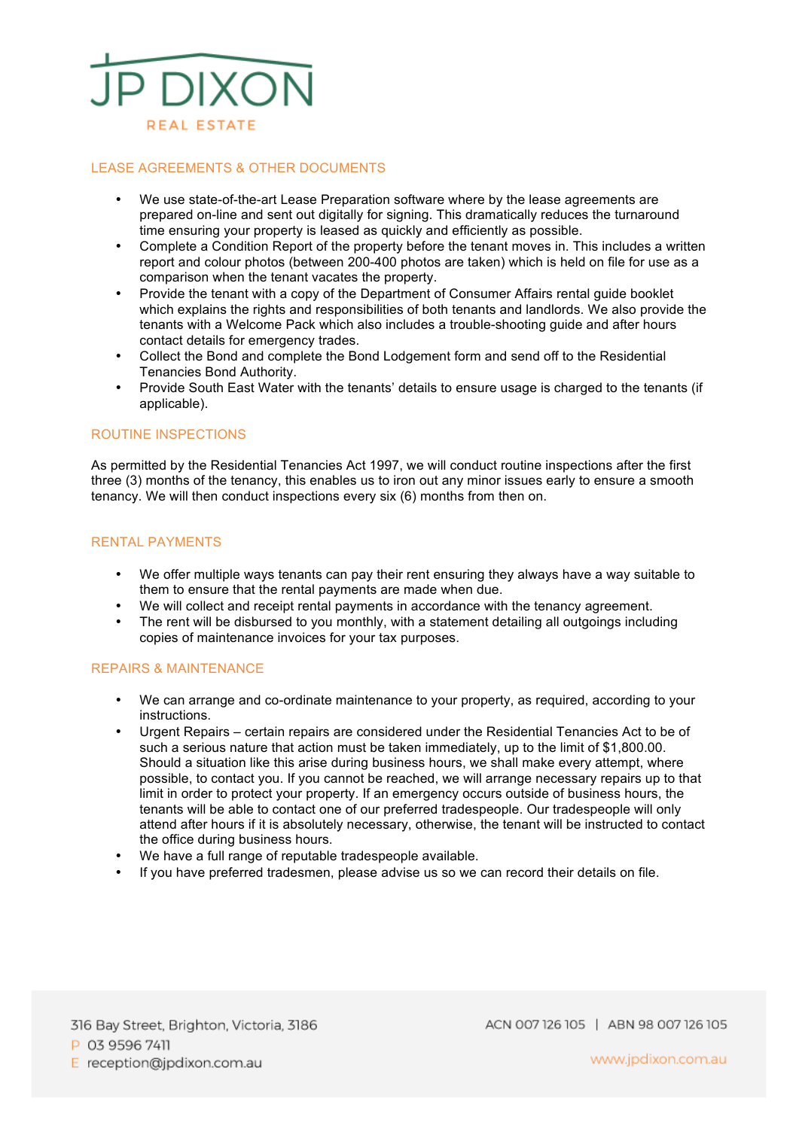

### LEASE AGREEMENTS & OTHER DOCUMENTS

- We use state-of-the-art Lease Preparation software where by the lease agreements are prepared on-line and sent out digitally for signing. This dramatically reduces the turnaround time ensuring your property is leased as quickly and efficiently as possible.
- Complete a Condition Report of the property before the tenant moves in. This includes a written report and colour photos (between 200-400 photos are taken) which is held on file for use as a comparison when the tenant vacates the property.
- Provide the tenant with a copy of the Department of Consumer Affairs rental guide booklet which explains the rights and responsibilities of both tenants and landlords. We also provide the tenants with a Welcome Pack which also includes a trouble-shooting guide and after hours contact details for emergency trades.
- Collect the Bond and complete the Bond Lodgement form and send off to the Residential Tenancies Bond Authority.
- Provide South East Water with the tenants' details to ensure usage is charged to the tenants (if applicable).

# ROUTINE INSPECTIONS

As permitted by the Residential Tenancies Act 1997, we will conduct routine inspections after the first three (3) months of the tenancy, this enables us to iron out any minor issues early to ensure a smooth tenancy. We will then conduct inspections every six (6) months from then on.

# RENTAL PAYMENTS

- We offer multiple ways tenants can pay their rent ensuring they always have a way suitable to them to ensure that the rental payments are made when due.
- We will collect and receipt rental payments in accordance with the tenancy agreement.
- The rent will be disbursed to you monthly, with a statement detailing all outgoings including copies of maintenance invoices for your tax purposes.

#### REPAIRS & MAINTENANCE

- We can arrange and co-ordinate maintenance to your property, as required, according to your instructions.
- Urgent Repairs certain repairs are considered under the Residential Tenancies Act to be of such a serious nature that action must be taken immediately, up to the limit of \$1,800.00. Should a situation like this arise during business hours, we shall make every attempt, where possible, to contact you. If you cannot be reached, we will arrange necessary repairs up to that limit in order to protect your property. If an emergency occurs outside of business hours, the tenants will be able to contact one of our preferred tradespeople. Our tradespeople will only attend after hours if it is absolutely necessary, otherwise, the tenant will be instructed to contact the office during business hours.
- We have a full range of reputable tradespeople available.
- If you have preferred tradesmen, please advise us so we can record their details on file.